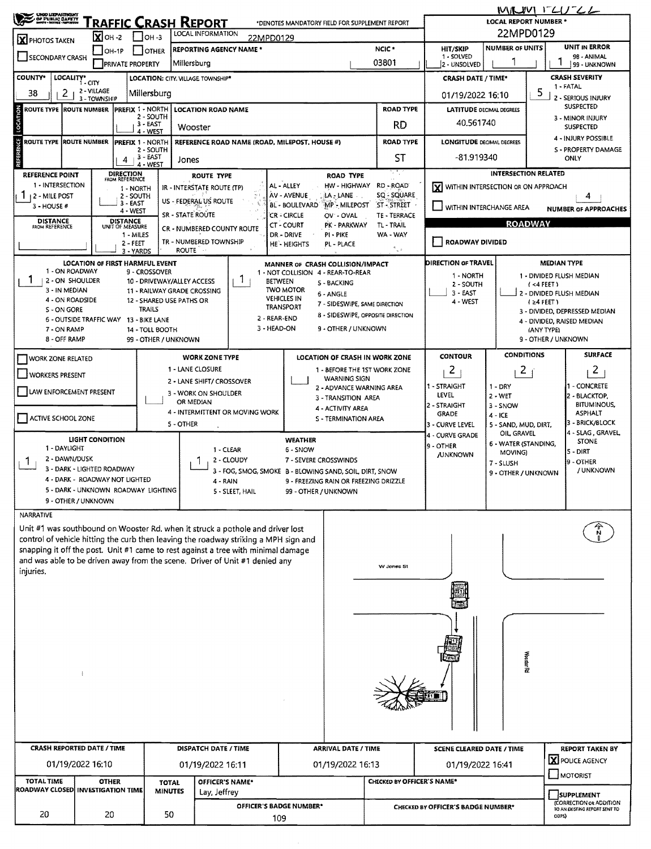| <b>CREO LIEPARTMENT</b>                                                                                                                                       |                                        |                               |                                     |                             |                                                           |                                                                                                                                                                        |                                                                                                |                                                     |                                                        | $M/LUVI$ $LCLJ-L$                                       |                                           |                                   |                                        |  |  |  |
|---------------------------------------------------------------------------------------------------------------------------------------------------------------|----------------------------------------|-------------------------------|-------------------------------------|-----------------------------|-----------------------------------------------------------|------------------------------------------------------------------------------------------------------------------------------------------------------------------------|------------------------------------------------------------------------------------------------|-----------------------------------------------------|--------------------------------------------------------|---------------------------------------------------------|-------------------------------------------|-----------------------------------|----------------------------------------|--|--|--|
| OF PUBLIC SAFETY<br>RAFFIC CRASH REPORT<br>*DENOTES MANDATORY FIELD FOR SUPPLEMENT REPORT                                                                     |                                        |                               |                                     |                             |                                                           |                                                                                                                                                                        |                                                                                                |                                                     |                                                        | <b>LOCAL REPORT NUMBER *</b>                            |                                           |                                   |                                        |  |  |  |
| <b>X</b> PHOTOS TAKEN                                                                                                                                         |                                        | $\overline{\mathbf{X}}$ OH -2 |                                     | $1$ Ioh -3                  | LOCAL INFORMATION                                         | 22MPD0129                                                                                                                                                              |                                                                                                |                                                     |                                                        |                                                         | 22MPD0129                                 |                                   |                                        |  |  |  |
| $OH-1P$<br><b>OTHER</b><br>SECONDARY CRASH                                                                                                                    |                                        |                               | <b>REPORTING AGENCY NAME *</b>      |                             |                                                           | NCIC <sup>*</sup><br>03801                                                                                                                                             | <b>UNIT IN ERROR</b><br><b>NUMBER OF UNITS</b><br><b>HIT/SKIP</b><br>1 - SOLVED<br>98 - ANIMAL |                                                     |                                                        |                                                         |                                           |                                   |                                        |  |  |  |
|                                                                                                                                                               |                                        |                               | <b>PRIVATE PROPERTY</b>             |                             | Millersburg                                               |                                                                                                                                                                        |                                                                                                | 2 - UNSOLVED                                        | 99 - UNKNOWN                                           |                                                         |                                           |                                   |                                        |  |  |  |
| <b>COUNTY*</b>                                                                                                                                                | LOCALITY* CITY                         |                               |                                     |                             | LOCATION: CITY. VILLAGE TOWNSHIP*                         |                                                                                                                                                                        |                                                                                                | <b>CRASH DATE / TIME*</b>                           | <b>CRASH SEVERITY</b><br>1 - FATAL                     |                                                         |                                           |                                   |                                        |  |  |  |
| 2 - VILLAGE<br>2<br>38<br>Millersburg<br>3 - TOWNSHIP                                                                                                         |                                        |                               |                                     |                             |                                                           |                                                                                                                                                                        |                                                                                                |                                                     |                                                        |                                                         | 5<br>01/19/2022 16:10<br>- SERIOUS INJURY |                                   |                                        |  |  |  |
| ROUTE TYPE  ROUTE NUMBER                                                                                                                                      |                                        |                               | PREFIX 1 - NORTH                    | 2 - SOUTH                   | <b>LOCATION ROAD NAME</b>                                 |                                                                                                                                                                        |                                                                                                |                                                     | <b>ROAD TYPE</b>                                       | <b>LATITUDE DECIMAL DEGREES</b>                         | <b>SUSPECTED</b><br>3 - MINOR INJURY      |                                   |                                        |  |  |  |
| LOCATION                                                                                                                                                      |                                        |                               |                                     | $3 - EAST$<br>4 - WEST      | Wooster                                                   |                                                                                                                                                                        |                                                                                                |                                                     | RD                                                     | 40.561740                                               | <b>SUSPECTED</b>                          |                                   |                                        |  |  |  |
| <b>ROUTE TYPE IROUTE NUMBER</b>                                                                                                                               |                                        |                               | PREFIX 1 - NORTH                    |                             |                                                           | REFERENCE ROAD NAME (ROAD, MILEPOST, HOUSE #)                                                                                                                          |                                                                                                |                                                     | <b>ROAD TYPE</b>                                       | 4 - INJURY POSSIBLE<br><b>LONGITUDE DECIMAL DEGREES</b> |                                           |                                   |                                        |  |  |  |
| <b>REFERENCE</b>                                                                                                                                              |                                        |                               | 4                                   | 2 - SOUTH<br>3 - EAST       | Jones                                                     |                                                                                                                                                                        |                                                                                                |                                                     | <b>ST</b>                                              | S - PROPERTY DAMAGE<br>-81.919340<br>ONLY               |                                           |                                   |                                        |  |  |  |
| <b>REFERENCE POINT</b>                                                                                                                                        |                                        |                               | DIRECTION<br>FROM REFERENCE         | 4 - WEST                    | <b>ROUTE TYPE</b>                                         |                                                                                                                                                                        |                                                                                                | <b>ROAD TYPE</b>                                    | Уħ,                                                    |                                                         | <b>INTERSECTION RELATED</b>               |                                   |                                        |  |  |  |
| 1 - INTERSECTION                                                                                                                                              |                                        |                               | 1 - NORTH                           |                             | IR - INTERSTATE ROUTE (TP)                                |                                                                                                                                                                        | AL - ALLEY                                                                                     | HW - HIGHWAY                                        | RD - ROAD                                              | X WITHIN INTERSECTION OR ON APPROACH                    |                                           |                                   |                                        |  |  |  |
| $112 -$ MILE POST<br>$3 - HOUSE #$                                                                                                                            |                                        |                               | 2 - SOUTH<br>$3 - EAST$             |                             | US - FEDERAL US ROUTE                                     |                                                                                                                                                                        | AV - AVENUE<br><b>BL-BOULEVARD</b>                                                             | LA - LANE<br><b>MP-MILEPOST</b>                     | SQ - SQUARE<br>ST - STREET                             |                                                         |                                           | 4                                 |                                        |  |  |  |
|                                                                                                                                                               |                                        |                               | 4 - WEST                            |                             | <b>SR - STATE ROUTE</b>                                   |                                                                                                                                                                        | <b>CR - CIRCLE</b>                                                                             | OV - OVAL                                           | WITHIN INTERCHANGE AREA<br><b>NUMBER OF APPROACHES</b> |                                                         |                                           |                                   |                                        |  |  |  |
| <b>DISTANCE</b><br><b>FROM REFERENCE</b>                                                                                                                      |                                        |                               | <b>DISTANCE</b><br>UNIT OF MEASURE  |                             | CR - NUMBERED COUNTY ROUTE                                |                                                                                                                                                                        | CT-COURT                                                                                       | PK - PARKWAY                                        | TL - TRAIL                                             | <b>ROADWAY</b>                                          |                                           |                                   |                                        |  |  |  |
| WA - WAY<br>1 - MILES<br>DR - DRIVE<br>PI - PIKE<br>TR - NUMBERED TOWNSHIP<br>ROADWAY DIVIDED<br>2-FEET<br>HE-HEIGHTS<br>PL - PLACE                           |                                        |                               |                                     |                             |                                                           |                                                                                                                                                                        |                                                                                                |                                                     |                                                        |                                                         |                                           |                                   |                                        |  |  |  |
| ۴., ×<br><b>ROUTE</b><br>3 - YARDS<br><b>DIRECTION OF TRAVEL</b><br><b>MEDIAN TYPE</b><br>LOCATION OF FIRST HARMFUL EVENT<br>MANNER OF CRASH COLLISION/IMPACT |                                        |                               |                                     |                             |                                                           |                                                                                                                                                                        |                                                                                                |                                                     |                                                        |                                                         |                                           |                                   |                                        |  |  |  |
|                                                                                                                                                               | 1 - ON ROADWAY                         |                               |                                     | 9 - CROSSOVER               |                                                           |                                                                                                                                                                        | 1 - NOT COLLISION 4 - REAR-TO-REAR                                                             |                                                     |                                                        | 1 - NORTH                                               |                                           |                                   | 1 - DIVIDED FLUSH MEDIAN               |  |  |  |
|                                                                                                                                                               | 2 - ON SHOULDER<br>3 - IN MEDIAN       |                               |                                     |                             | 10 - DRIVEWAY/ALLEY ACCESS<br>11 - RAILWAY GRADE CROSSING | $\mathbf{1}$                                                                                                                                                           | BETWEEN<br><b>S-BACKING</b><br><b>TWO MOTOR</b>                                                |                                                     | 2 - SOUTH<br>$3 - EAST$                                |                                                         | (4 FEE)<br>2 - DIVIDED FLUSH MEDIAN       |                                   |                                        |  |  |  |
|                                                                                                                                                               | 4 - ON ROADSIDE                        |                               |                                     |                             | 12 - SHARED USE PATHS OR                                  |                                                                                                                                                                        | <b>VEHICLES IN</b>                                                                             | 6 - ANGLE                                           |                                                        | 4 - WEST                                                |                                           |                                   |                                        |  |  |  |
| $(24$ FEET)<br>7 - SIDESWIPE, SAME DIRECTION<br>TRANSPORT<br><b>TRAILS</b><br>S - ON GORE<br>8 - SIDESWIPE, OPPOSITE DIRECTION<br>2 - REAR-END                |                                        |                               |                                     |                             |                                                           |                                                                                                                                                                        |                                                                                                |                                                     |                                                        |                                                         | 3 - DIVIDED, DEPRESSED MEDIAN             |                                   |                                        |  |  |  |
| 6 - OUTSIDE TRAFFIC WAY 13 - BIKE LANE<br>4 - DIVIDED, RAISED MEDIAN<br>3 - HEAD-ON<br>9 - OTHER / UNKNOWN<br>7 - ON RAMP<br>14 - TOLL BOOTH<br>(ANY TYPE)    |                                        |                               |                                     |                             |                                                           |                                                                                                                                                                        |                                                                                                |                                                     |                                                        |                                                         |                                           |                                   |                                        |  |  |  |
|                                                                                                                                                               | 8 - OFF RAMP                           |                               |                                     | 99 - OTHER / UNKNOWN        |                                                           |                                                                                                                                                                        |                                                                                                |                                                     |                                                        |                                                         |                                           | 9 - OTHER / UNKNOWN               |                                        |  |  |  |
| <b>WORK ZONE RELATED</b>                                                                                                                                      |                                        |                               |                                     |                             | <b>WORK ZONE TYPE</b>                                     |                                                                                                                                                                        |                                                                                                |                                                     | LOCATION OF CRASH IN WORK ZONE                         | <b>CONTOUR</b>                                          | <b>CONDITIONS</b>                         |                                   | <b>SURFACE</b>                         |  |  |  |
| <b>WORKERS PRESENT</b>                                                                                                                                        |                                        |                               |                                     |                             | 1 - LANE CLOSURE                                          |                                                                                                                                                                        |                                                                                                | 1 - BEFORE THE 1ST WORK ZONE<br><b>WARNING SIGN</b> |                                                        | 2<br>$\mathbf{2}$                                       |                                           |                                   | $\overline{c}$                         |  |  |  |
| LAW ENFORCEMENT PRESENT                                                                                                                                       |                                        |                               |                                     |                             | 2 - LANE SHIFT/ CROSSOVER<br>3 - WORK ON SHOULDER         |                                                                                                                                                                        |                                                                                                | 2 - ADVANCE WARNING AREA                            |                                                        | 1 - STRAIGHT                                            | $1 - DRY$                                 |                                   | I - CONCRETE                           |  |  |  |
|                                                                                                                                                               |                                        |                               |                                     |                             | OR MEDIAN                                                 |                                                                                                                                                                        |                                                                                                | 3 - TRANSITION AREA<br>4 - ACTIVITY AREA            |                                                        | LEVEL<br>2 - STRAIGHT                                   | $2 - WET$<br>3 - SNOW                     |                                   | 2 - BLACKTOP,<br><b>BITUMINOUS,</b>    |  |  |  |
| ACTIVE SCHOOL ZONE                                                                                                                                            |                                        |                               |                                     |                             |                                                           | 4 - INTERMITTENT OR MOVING WORK                                                                                                                                        |                                                                                                | S - TERMINATION AREA                                | <b>GRADE</b>                                           | 4 - ICE                                                 |                                           | <b>ASPHALT</b><br>3 - BRICK/BLOCK |                                        |  |  |  |
| 5 - OTHER                                                                                                                                                     |                                        |                               |                                     |                             |                                                           |                                                                                                                                                                        |                                                                                                |                                                     |                                                        | 3 - CURVE LEVEL<br><b>4 - CURVE GRADE</b>               | 5 - SAND, MUD, DIRT,<br>OIL GRAVEL        |                                   | 4 - SLAG, GRAVEL                       |  |  |  |
|                                                                                                                                                               | <b>LIGHT CONDITION</b><br>1 - DAYLIGHT |                               |                                     |                             |                                                           | 1 - CLEAR                                                                                                                                                              | <b>WEATHER</b><br>6 - SNOW                                                                     |                                                     |                                                        | 9 - OTHER                                               | 6 - WATER (STANDING,<br>MOVING)           |                                   | <b>STONE</b><br>5 - DIRT               |  |  |  |
| 2 - DAWN/DUSK                                                                                                                                                 |                                        |                               |                                     |                             |                                                           | 2 - CLOUDY                                                                                                                                                             | 7 - SEVERE CROSSWINDS                                                                          |                                                     | <b>JUNKNOWN</b>                                        | 7 - SLUSH                                               |                                           | 9 - OTHER                         |                                        |  |  |  |
|                                                                                                                                                               | 3 - DARK - LIGHTED ROADWAY             |                               | 4 - DARK - ROADWAY NOT LIGHTED      |                             |                                                           | 3 - FOG, SMOG, SMOKE B - BLOWING SAND, SOIL DIRT, SNOW                                                                                                                 |                                                                                                |                                                     |                                                        |                                                         | 9 - OTHER / UNKNOWN                       |                                   | / UNKNOWN                              |  |  |  |
|                                                                                                                                                               |                                        |                               | 5 - DARK - UNKNOWN ROADWAY LIGHTING |                             |                                                           | 9 - FREEZING RAIN OR FREEZING DRIZZLE<br>4 - RAIN<br>5 - SLEET, HAIL<br>99 - OTHER / UNKNOWN                                                                           |                                                                                                |                                                     |                                                        |                                                         |                                           |                                   |                                        |  |  |  |
|                                                                                                                                                               | 9 - OTHER / UNKNOWN                    |                               |                                     |                             |                                                           |                                                                                                                                                                        |                                                                                                |                                                     |                                                        |                                                         |                                           |                                   |                                        |  |  |  |
| NARRATIVE                                                                                                                                                     |                                        |                               |                                     |                             |                                                           |                                                                                                                                                                        |                                                                                                |                                                     |                                                        |                                                         |                                           |                                   |                                        |  |  |  |
|                                                                                                                                                               |                                        |                               |                                     |                             |                                                           | Unit #1 was southbound on Wooster Rd, when it struck a pothole and driver lost<br>control of vehicle hitting the curb then leaving the roadway striking a MPH sign and |                                                                                                |                                                     |                                                        |                                                         |                                           |                                   |                                        |  |  |  |
|                                                                                                                                                               |                                        |                               |                                     |                             |                                                           | snapping it off the post. Unit #1 came to rest against a tree with minimal damage                                                                                      |                                                                                                |                                                     |                                                        |                                                         |                                           |                                   |                                        |  |  |  |
|                                                                                                                                                               |                                        |                               |                                     |                             |                                                           | and was able to be driven away from the scene. Driver of Unit #1 denied any                                                                                            |                                                                                                |                                                     | W Jones St                                             |                                                         |                                           |                                   |                                        |  |  |  |
| injuries.                                                                                                                                                     |                                        |                               |                                     |                             |                                                           |                                                                                                                                                                        |                                                                                                |                                                     |                                                        |                                                         |                                           |                                   |                                        |  |  |  |
|                                                                                                                                                               |                                        |                               |                                     |                             |                                                           |                                                                                                                                                                        |                                                                                                |                                                     |                                                        |                                                         |                                           |                                   |                                        |  |  |  |
|                                                                                                                                                               |                                        |                               |                                     |                             |                                                           |                                                                                                                                                                        |                                                                                                |                                                     |                                                        |                                                         |                                           |                                   |                                        |  |  |  |
|                                                                                                                                                               |                                        |                               |                                     |                             |                                                           |                                                                                                                                                                        |                                                                                                |                                                     |                                                        |                                                         |                                           |                                   |                                        |  |  |  |
|                                                                                                                                                               |                                        |                               |                                     |                             |                                                           |                                                                                                                                                                        |                                                                                                |                                                     |                                                        |                                                         |                                           |                                   |                                        |  |  |  |
|                                                                                                                                                               |                                        |                               |                                     |                             |                                                           |                                                                                                                                                                        |                                                                                                |                                                     |                                                        |                                                         |                                           |                                   |                                        |  |  |  |
|                                                                                                                                                               |                                        |                               |                                     |                             |                                                           |                                                                                                                                                                        |                                                                                                |                                                     |                                                        |                                                         | Wooster Rd                                |                                   |                                        |  |  |  |
|                                                                                                                                                               | ÷                                      |                               |                                     |                             |                                                           |                                                                                                                                                                        |                                                                                                |                                                     |                                                        |                                                         |                                           |                                   |                                        |  |  |  |
|                                                                                                                                                               |                                        |                               |                                     |                             |                                                           |                                                                                                                                                                        |                                                                                                |                                                     |                                                        |                                                         |                                           |                                   |                                        |  |  |  |
|                                                                                                                                                               |                                        |                               |                                     |                             |                                                           |                                                                                                                                                                        |                                                                                                |                                                     |                                                        |                                                         |                                           |                                   |                                        |  |  |  |
|                                                                                                                                                               |                                        |                               |                                     |                             |                                                           |                                                                                                                                                                        |                                                                                                |                                                     |                                                        |                                                         |                                           |                                   |                                        |  |  |  |
|                                                                                                                                                               |                                        |                               |                                     |                             |                                                           |                                                                                                                                                                        |                                                                                                |                                                     |                                                        |                                                         |                                           |                                   |                                        |  |  |  |
| <b>CRASH REPORTED DATE / TIME</b>                                                                                                                             |                                        |                               |                                     | <b>DISPATCH DATE / TIME</b> |                                                           |                                                                                                                                                                        |                                                                                                | <b>ARRIVAL DATE / TIME</b>                          |                                                        | <b>SCENE CLEARED DATE / TIME</b>                        |                                           |                                   | <b>REPORT TAKEN BY</b>                 |  |  |  |
|                                                                                                                                                               | 01/19/2022 16:10                       |                               |                                     | 01/19/2022 16:11            |                                                           |                                                                                                                                                                        |                                                                                                | 01/19/2022 16:13                                    |                                                        | 01/19/2022 16:41                                        |                                           |                                   | X POLICE AGENCY<br>MOTORIST            |  |  |  |
| <b>TOTAL TIME</b>                                                                                                                                             |                                        | <b>OTHER</b>                  |                                     | <b>TOTAL</b>                |                                                           | OFFICER'S NAME*                                                                                                                                                        |                                                                                                |                                                     | CHECKED BY OFFICER'S NAME*                             |                                                         |                                           |                                   |                                        |  |  |  |
| ROADWAY CLOSED  INVESTIGATION TIME<br><b>MINUTES</b>                                                                                                          |                                        |                               |                                     |                             | Lay, Jeffrey                                              |                                                                                                                                                                        |                                                                                                |                                                     | SUPPLEMENT                                             |                                                         |                                           | (CORRECTION OR ADDITION           |                                        |  |  |  |
| 20                                                                                                                                                            |                                        | 20                            |                                     | 50                          |                                                           |                                                                                                                                                                        | OFFICER'S BADGE NUMBER*<br>109                                                                 |                                                     |                                                        | CHECKED BY OFFICER'S BADGE NUMBER*                      |                                           |                                   | TO AN EXISTING REPORT SENT TO<br>ODPS) |  |  |  |
|                                                                                                                                                               |                                        |                               |                                     |                             |                                                           |                                                                                                                                                                        |                                                                                                |                                                     |                                                        |                                                         |                                           |                                   |                                        |  |  |  |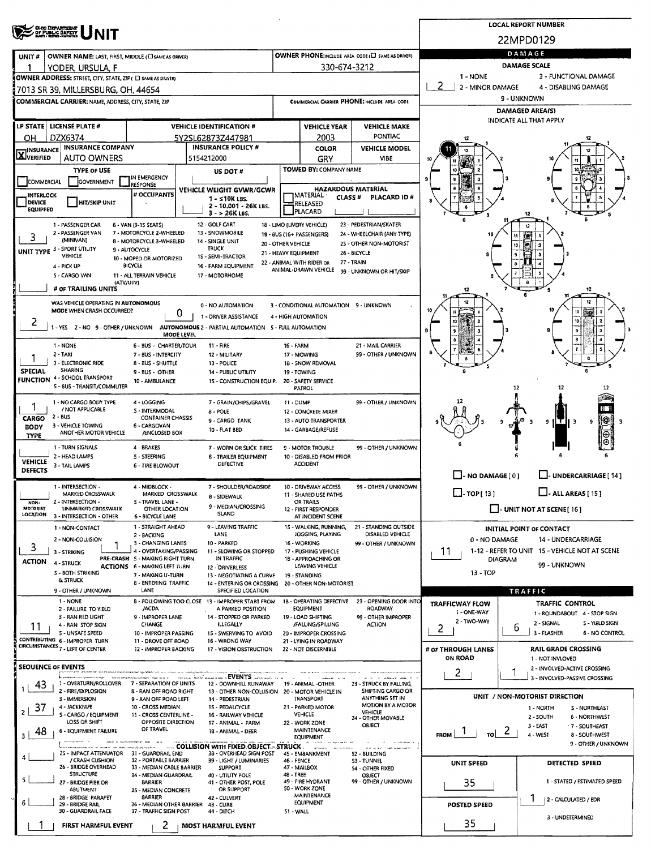|                                                                                                                                                                                                                                                    | <b>LOCAL REPORT NUMBER</b>                                                                 |                                                    |                           |                                              |                                                         |                                                        |  |  |  |  |  |
|----------------------------------------------------------------------------------------------------------------------------------------------------------------------------------------------------------------------------------------------------|--------------------------------------------------------------------------------------------|----------------------------------------------------|---------------------------|----------------------------------------------|---------------------------------------------------------|--------------------------------------------------------|--|--|--|--|--|
| <b>CHOO DEPARTMENT</b><br>OF PUBLIC BAFETY                                                                                                                                                                                                         |                                                                                            |                                                    |                           | 22MPD0129                                    |                                                         |                                                        |  |  |  |  |  |
| OWNER NAME: LAST, FIRST, MIDDLE (C) SAME AS ORIVER)<br>UNIT#                                                                                                                                                                                       |                                                                                            | OWNER PHONE; INCLUDE AREA CODE (E) SAME AS DRIVER) | DAMAGE                    |                                              |                                                         |                                                        |  |  |  |  |  |
| YODER, URSULA, F                                                                                                                                                                                                                                   |                                                                                            |                                                    | 330-674-3212              |                                              | <b>DAMAGE SCALE</b>                                     |                                                        |  |  |  |  |  |
| OWNER ADDRESS: STREET, CITY, STATE, ZIP ( E) SAME AS DRIVER)                                                                                                                                                                                       | 1 - NONE<br>3 - FUNCTIONAL DAMAGE<br>2                                                     |                                                    |                           |                                              |                                                         |                                                        |  |  |  |  |  |
| 17013 SR 39, MILLERSBURG, OH, 44654                                                                                                                                                                                                                |                                                                                            |                                                    |                           |                                              | 2 - MINOR DAMAGE<br>4 - DISABLING DAMAGE<br>9 - UNKNOWN |                                                        |  |  |  |  |  |
| COMMERCIAL CARRIER: NAME, ADDRESS, CITY, STATE, ZIP                                                                                                                                                                                                |                                                                                            | COMMERCIAL CARRIER PHONE: INCLUDE AREA CODE        |                           |                                              |                                                         | <b>DAMAGED AREA(S)</b>                                 |  |  |  |  |  |
| <b>LP STATE   LICENSE PLATE #</b>                                                                                                                                                                                                                  | <b>VEHICLE IDENTIFICATION #</b>                                                            | <b>VEHICLE YEAR</b><br><b>VEHICLE MAKE</b>         |                           |                                              |                                                         | <b>INDICATE ALL THAT APPLY</b>                         |  |  |  |  |  |
| DZX6374<br>ΟH                                                                                                                                                                                                                                      | 5Y2SL62873Z447981                                                                          |                                                    | 2003                      | PONTIAC                                      |                                                         | 12                                                     |  |  |  |  |  |
| INSURANCE COMPANY<br><b>HINSURANCE</b>                                                                                                                                                                                                             | <b>INSURANCE POLICY #</b>                                                                  |                                                    | <b>COLOR</b>              | <b>VEHICLE MODEL</b>                         |                                                         |                                                        |  |  |  |  |  |
| <b>LX</b> JVERIFIED<br><b>AUTO OWNERS</b>                                                                                                                                                                                                          | 5154212000                                                                                 |                                                    | GRY                       | VIBE                                         |                                                         |                                                        |  |  |  |  |  |
| <b>TYPE OF USE</b><br>IN EMERGENCY                                                                                                                                                                                                                 | US DOT #                                                                                   |                                                    | TOWED BY: COMPANY NAME    |                                              |                                                         |                                                        |  |  |  |  |  |
| COMMERCIAL<br>GOVERNMENT<br>RESPONSE                                                                                                                                                                                                               | VEHICLE WEIGHT GVWR/GCWR                                                                   |                                                    | <b>HAZARDOUS MATERIAL</b> |                                              |                                                         |                                                        |  |  |  |  |  |
| # OCCUPANTS<br><b>INTERLOCK</b><br>DEVICE<br><b>HIT/SKIP UNIT</b>                                                                                                                                                                                  | $1 - s$ 10K LBS.<br>2 - 10,001 - 26K LBS.                                                  | <b>IMATERIAL</b><br><b>RELEASED</b>                | <b>CLASS#</b>             | PLACARD ID#                                  |                                                         |                                                        |  |  |  |  |  |
| <b>EQUIPPED</b>                                                                                                                                                                                                                                    | $3 > 26K$ LBS.                                                                             | PLACARD                                            |                           |                                              |                                                         | 12                                                     |  |  |  |  |  |
| 1 - PASSENGER CAR<br>12 - GOLF CART<br>18 - LIMO (LIVERY VEHICLE)<br>23 - PEDESTRIAN/SKATER<br>6 - VAN (9-15 SEATS)<br>2 - PASSENGER VAN<br>7 - MOTORCYCLE 2-WHEELED<br>13 - SNOWMOBILE<br>24 - WHEELCHAIR (ANY TYPE)<br>19 - 8US (16+ PASSENGERS) |                                                                                            |                                                    |                           |                                              |                                                         |                                                        |  |  |  |  |  |
| 圖<br>11  <br>3<br>(MINIVAN)<br>8 - MOTORCYCLE 3-WHEELED<br>14 - SINGLE UNIT<br>20 - OTHER VEHICLE<br>25 - OTHER NON-MOTORIST<br>Ъ,<br>i 2<br>۱O                                                                                                    |                                                                                            |                                                    |                           |                                              |                                                         |                                                        |  |  |  |  |  |
| UNIT TYPE 3 - SPORT UTILITY<br><b>TRUCK</b><br>9 - AUTOCYCLE<br>21 - HEAVY EQUIPMENT<br>26 - BICYCLE<br><b>VEHICLE</b><br>15 - SEMI-TRACTOR<br>10 - MOPED OR MOTORIZED                                                                             |                                                                                            |                                                    |                           |                                              |                                                         |                                                        |  |  |  |  |  |
| 22 - ANIMAL WITH RIDER OR<br>27 - TRAIN<br><b>BICYCLE</b><br>16 - FARM EOUIPMENT<br>4 - PICK UP<br>ANIMAL-DRAWN VEHICLE<br>99 - UNKNOWN OR HIT/SKIP                                                                                                |                                                                                            |                                                    |                           |                                              |                                                         |                                                        |  |  |  |  |  |
| 5 - CARGO VAN<br>11 - ALL TERRAIN VEHICLE<br>17 - MOTORHOME<br>(ATV/UTV)                                                                                                                                                                           |                                                                                            |                                                    |                           |                                              |                                                         |                                                        |  |  |  |  |  |
| # OF TRAILING UNITS                                                                                                                                                                                                                                |                                                                                            |                                                    |                           |                                              | 12                                                      | 12                                                     |  |  |  |  |  |
| WAS VEHICLE OPERATING IN AUTONOMOUS<br>MODE WHEN CRASH OCCURRED?                                                                                                                                                                                   | 0 - NO AUTOMATION<br>0                                                                     | 4 - HIGH AUTOMATION                                |                           | 3 - CONDITIONAL AUTOMATION 9 - UNKNOWN       |                                                         | 11                                                     |  |  |  |  |  |
| z<br>1 - YES 2 - NO 9 - OTHER / UNKNOWN AUTONOMOUS 2 - PARTIAL AUTOMATION 5 - FULL AUTOMATION                                                                                                                                                      | 1 - DRIVER ASSISTANCE                                                                      |                                                    | 10                        |                                              |                                                         |                                                        |  |  |  |  |  |
|                                                                                                                                                                                                                                                    | MODE LEVEL                                                                                 |                                                    |                           |                                              |                                                         | 9                                                      |  |  |  |  |  |
| 1 - NONE<br>6 - BUS - CHARTER/TOUR<br>$2 - TAXI$<br>7 - BUS - INTERCITY                                                                                                                                                                            | 11 - FIRE<br>12 - MILITARY                                                                 | 16 - FARM<br>17 - MOWING                           |                           | 21 - MAIL CARRIER<br>99 - OTHER / UNKNOWN    |                                                         |                                                        |  |  |  |  |  |
| 3 - ELECTRONIC RIDE<br>8 - BUS - SHUTTLE                                                                                                                                                                                                           | 13 - POLICE                                                                                | 18 - SNOW REMOVAL                                  |                           |                                              |                                                         |                                                        |  |  |  |  |  |
| <b>SHARING</b><br><b>SPECIAL</b><br>9 - BUS - OTHER<br><b>FUNCTION 4 - SCHOOL TRANSPORT</b><br>10 - AMBULANCE                                                                                                                                      | 14 - PUBLIC UTILITY<br>15 - CONSTRUCTION EQUIP.                                            | 19 TOWING<br>20 - SAFETY SERVICE                   |                           |                                              |                                                         |                                                        |  |  |  |  |  |
| 5 - 8US - TRANSIT/COMMUTER                                                                                                                                                                                                                         |                                                                                            | PATROL                                             |                           |                                              |                                                         | 12<br>12                                               |  |  |  |  |  |
| 1 - NO CARGO BODY TYPE<br>4 - LOGGING<br>/ NOT APPLICABLE                                                                                                                                                                                          | 7 - GRAIN/CHIPS/GRAVEL                                                                     | $11 - DUMP$                                        |                           | 99 - OTHER / UNKNOWN                         |                                                         |                                                        |  |  |  |  |  |
| S - INTERMODAL<br>2 - BUS<br>CARGO<br><b>CONTAINER CHASSIS</b>                                                                                                                                                                                     | 8 - POLE<br>9 - CARGO TANK                                                                 | 12 - CONCRETE MIXER<br>13 - AUTO TRANSPORTER       |                           |                                              |                                                         | 縣<br>9<br>9<br>з                                       |  |  |  |  |  |
| 3 - VEHICLE TOWING<br>6 - CARGOVAN<br><b>BODY</b><br>ANOTHER MOTOR VEHICLE<br><b>/ENCLOSED BOX</b><br><b>TYPE</b>                                                                                                                                  | 10 - FLAT BED                                                                              | 14 - GARBAGE/REFUSE                                |                           |                                              |                                                         |                                                        |  |  |  |  |  |
| 1 - TURN SIGNALS<br>4 - BRAKES                                                                                                                                                                                                                     | 7 - WORN OR SLICK TIRES                                                                    | 9 - MOTOR TROUBLE                                  |                           | 99 - OTHER / UNKNOWN                         |                                                         |                                                        |  |  |  |  |  |
| 2 - HEAD LAMPS<br><b>S-STEERING</b><br><b>VEHICLE</b>                                                                                                                                                                                              | 8 - TRAILER EQUIPMENT<br>DEFECTIVE                                                         | <b>ACCIDENT</b>                                    | 10 - DISABLED FROM PRIOR  |                                              |                                                         |                                                        |  |  |  |  |  |
| 3 - TAIL LAMPS<br>6 - TIRE BLOWOUT<br><b>DEFECTS</b>                                                                                                                                                                                               |                                                                                            |                                                    |                           |                                              | $\Box$ - NO DAMAGE [ 0 ]                                | UNDERCARRIAGE [ 14 ]                                   |  |  |  |  |  |
| 1 - INTERSECTION -<br>4 - MIDBLOCK -                                                                                                                                                                                                               | 7 - SHOULDER/ROADSIDE                                                                      | 10 - DRIVEWAY ACCESS                               |                           | 99 - OTHER / UNKNOWN                         |                                                         | $\Box$ - ALL AREAS [ 15 ]                              |  |  |  |  |  |
| MARKED CROSSWALK<br>MARKED CROSSWALK<br>2 - INTERSECTION -<br>S - TRAVEL LANE -<br>NON-                                                                                                                                                            | 8 - SIDEWALK                                                                               | 11 - SHARED USE PATHS<br><b>OR TRAILS</b>          |                           |                                              | $\Box$ - TOP[13]                                        |                                                        |  |  |  |  |  |
| MOTORIST<br><b>UNMARKED CROSSWALK</b><br>OTHER LOCATION<br>LOCATION<br>3 - INTERSECTION - OTHER<br>6 - BICYCLE LANE                                                                                                                                | 9 - MEDIAN/CROSSING<br>ISLAND                                                              | 12 - FIRST RESPONDER                               | AT INCIDENT SCENE         |                                              | $\lfloor \cdot \rfloor$ - UNIT NOT AT SCENE [16]        |                                                        |  |  |  |  |  |
| 1 - STRAIGHT AHEAD<br>1 - NON-CONTACT                                                                                                                                                                                                              | 9 - LEAVING TRAFFIC                                                                        | 15 - WALKING, RUNNING,                             |                           | 21 - STANDING OUTSIDE                        |                                                         | <b>INITIAL POINT OF CONTACT</b>                        |  |  |  |  |  |
| 2 - BACKING<br>2 - NON-COLLISION<br>3 - CHANGING LANES                                                                                                                                                                                             | LANE<br>10 - PARKED                                                                        | 16 - WORKING                                       | JOGGING, PLAYING          | DISABLED VEHICLE<br>99 - OTHER / UNKNOWN     | 0 - NO DAMAGE                                           | 14 - UNDERCARRIAGE                                     |  |  |  |  |  |
| 3<br>4 - OVERTAKING/PASSING<br>3 - STRIKING<br>PRE-CRASH 5 - MAKING RIGHT TURN                                                                                                                                                                     | 11 - SLOWING OR STOPPED<br>IN TRAFFIC                                                      | 17 - PUSHING VEHICLE<br>18 - APPROACHING OR        |                           |                                              | 11<br><b>DIAGRAM</b>                                    | 1-12 - REFER TO UNIT 15 - VEHICLE NOT AT SCENE         |  |  |  |  |  |
| <b>ACTION</b><br>4 - STRUCK<br><b>ACTIONS 6 - MAKING LEFT TURN</b><br>5 - BOTH STRIKING                                                                                                                                                            | 12 - DRIVERLESS                                                                            | LEAVING VEHICLE                                    |                           |                                              | $13 - TOP$                                              | 99 - UNKNOWN                                           |  |  |  |  |  |
| 7 - MAKING U-TURN<br>& STRUCK<br>8 - ENTERING TRAFFIC                                                                                                                                                                                              | 13 - NEGOTIATING A CURVE<br>14 - ENTERING OR CROSSING                                      | 19 - STANDING                                      | 20 - OTHER NON-MOTORIST   |                                              |                                                         |                                                        |  |  |  |  |  |
| 9 - OTHER / UNKNOWN<br>LANE<br>1 - NONE                                                                                                                                                                                                            | SPECIFIED LOCATION<br>B - FOLLOWING TOO CLOSE 13 - IMPROPER START FROM                     |                                                    | 18 - OPERATING DEFECTIVE  | 23 - OPENING DOOR INTO                       |                                                         | <b>TRAFFIC</b>                                         |  |  |  |  |  |
| /ACDA<br>2 - FAILURE TO YIELD                                                                                                                                                                                                                      | A PARKED POSITION                                                                          | <b>EQUIPMENT</b>                                   |                           | <b>ROADWAY</b>                               | <b>TRAFFICWAY FLOW</b><br>1 - ONE-WAY                   | <b>TRAFFIC CONTROL</b><br>1 - ROUNDABOUT 4 - STOP SIGN |  |  |  |  |  |
| 3 - RAN RED UGHT<br>9 - IMPROPER LANE<br>CHANGE<br>4 - RAN STOP SIGN<br>11                                                                                                                                                                         | 14 - STOPPED OR PARKED<br><b>ILLEGALLY</b>                                                 | 19 - LOAD SHIFTING<br>/FALLING/SPILLING            |                           | 99 - OTHER IMPROPER<br><b>ACTION</b>         | 2 - TWO-WAY                                             | 2 - SIGNAL<br>5 - YIELD SIGN<br>6                      |  |  |  |  |  |
| 5 - UNSAFE SPEED<br>10 - IMPROPER PASSING<br>CONTRIBUTING 6 - IMPROPER TURN<br>11 - DROVE OFF ROAD                                                                                                                                                 | 15 - SWERVING TO AVOID<br>16 - WRONG WAY                                                   | 20 - IMPROPER CROSSING<br>21 - LYING IN ROADWAY    |                           |                                              | 2                                                       | 3 - FLASHER<br><b>6 - NO CONTROL</b>                   |  |  |  |  |  |
| CIRCUMSTANCES 7 - LEFT OF CENTER<br>12 - IMPROPER BACKING                                                                                                                                                                                          | 17 - VISION OBSTRUCTION                                                                    | 22 - NOT DISCERNIBLE                               |                           |                                              | # OF THROUGH LANES                                      | <b>RAIL GRADE CROSSING</b>                             |  |  |  |  |  |
| <b>SEOUENCE OF EVENTS</b>                                                                                                                                                                                                                          |                                                                                            |                                                    |                           |                                              | <b>ON ROAD</b>                                          | 1 - NOT INVLOVED<br>2 - INVOLVED-ACTIVE CROSSING       |  |  |  |  |  |
|                                                                                                                                                                                                                                                    | - EVENTS ---------                                                                         |                                                    |                           |                                              | 2                                                       | 3 - INVOLVED-PASSIVE CROSSING                          |  |  |  |  |  |
| 1 - OVERTURN/ROLLOVER<br>7 - SEPARATION OF UNITS<br>43<br>2 - FIRE/EXPLOSION<br><b>B-RAN OFF ROAD RIGHT</b>                                                                                                                                        | 12 - DOWNHILL RUNAWAY 19 - ANIMAL -OTHER<br>13 - OTHER NON-COLLISION 20 - MOTOR VEHICLE IN |                                                    |                           | 23 - STRUCK BY FALLING,<br>SHIFTING CARGO OR |                                                         | UNIT / NON-MOTORIST DIRECTION                          |  |  |  |  |  |
| 3 - IMMERSION<br>9 - RAN OFF ROAD LEFT<br>4 - JACKKNIFE<br>10 - CROSS MEDIAN<br>37                                                                                                                                                                 | 14 - PEDESTRIAN<br>15 - PEDALCYCLE                                                         | 21 - PARKED MOTOR                                  | <b>TRANSPORT</b>          | ANYTHING SET IN<br>MOTION BY A MOTOR         |                                                         | 1 - NORTH<br>S - NORTHEAST                             |  |  |  |  |  |
| S - CARGO / EQUIPMENT<br>11 - CROSS CENTERLINE -<br>LOSS OR SHIFT<br>OPPOSITE DIRECTION                                                                                                                                                            | 16 - RAILWAY VEHICLE<br>17 - ANIMAL - FARM                                                 | <b>VEHICLE</b><br>22 - WORK ZONE                   |                           | <b>VEHICLE</b><br>24 - OTHER MOVABLE         |                                                         | 2 - SOUTH<br>6 - NORTHWEST                             |  |  |  |  |  |
| OBJECT<br>3 - EAST<br>7 - SOUTHEAST<br>OF TRAVEL<br>MAINTENANCE<br>6 - EQUIPMENT FAILURE<br>18 - ANIMAL - DEER<br>48<br>$\epsilon$<br>FROM<br>τoΙ<br>4 - WEST<br><b>8 - SOUTHWEST</b><br>з.<br>EQUIPMENT                                           |                                                                                            |                                                    |                           |                                              |                                                         |                                                        |  |  |  |  |  |
| 9 - OTHER / UNKNOWN<br>COLLISION WITH FIXED OBJECT. - STRUCK .                                                                                                                                                                                     |                                                                                            |                                                    |                           |                                              |                                                         |                                                        |  |  |  |  |  |
| 25 - IMPACT ATTENUATOR<br>31 - GUARDRAIL END<br>/ CRASH CUSHION<br>32 - PORTABLE BARRIER                                                                                                                                                           | 38 - OVERHEAD SIGN POST<br>39 - LIGHT / LUMINARIES                                         | 45 - EMBANKMENT<br><b>46 - FENCE</b>               |                           | 52 - BUILDING<br>S3 - TUNNEL                 | <b>UNIT SPEED</b>                                       | DETECTED SPEED                                         |  |  |  |  |  |
| 26 - BRIDGE OVERHEAD<br>33 - MEDIAN CABLE BARRIER<br><b>STRUCTURE</b><br>34 - MEDIAN GUARDRAIL                                                                                                                                                     | <b>SUPPORT</b><br>40 - UTILITY POLE                                                        | 47 - MAILBOX<br>48 - TREE                          |                           | 54 - OTHER FIXED<br><b>OBJECT</b>            |                                                         |                                                        |  |  |  |  |  |
| 5<br>27 - BRIDGE PIER OR<br><b>BARRIER</b><br>ABUTMENT<br>35 - MEDIAN CONCRETE                                                                                                                                                                     | 41 - OTHER POST, POLE<br>OR SUPPORT                                                        | 49 - FIRE HYDRANT<br>50 - WORK ZONE                |                           | 99 - OTHER / UNKNOWN                         | 35                                                      | 1 - STATED / ESTIMATED SPEED                           |  |  |  |  |  |
| <b>BARRIER</b><br>28 - BRIDGE PARAPET<br>29 - BRIDGE RAIL<br>36 - MEDIAN OTHER SARRIER                                                                                                                                                             | 42 - CULVERT                                                                               | MAINTENANCE<br><b>EQUIPMENT</b>                    |                           |                                              |                                                         | 1<br>2 - CALCULATED / EDR                              |  |  |  |  |  |
| 30 - GUARDRAIL FACE<br>37 - TRAFFIC SIGN POST                                                                                                                                                                                                      | 43 - CUR8<br>44 - DITCH                                                                    | 51 - WALL                                          |                           |                                              | <b>POSTED SPEED</b>                                     | 3 - UNDETERMINED                                       |  |  |  |  |  |
| <b>FIRST HARMFUL EVENT</b><br>Ζ                                                                                                                                                                                                                    | <b>MOST HARMFUL EVENT</b>                                                                  |                                                    |                           |                                              | 35                                                      |                                                        |  |  |  |  |  |